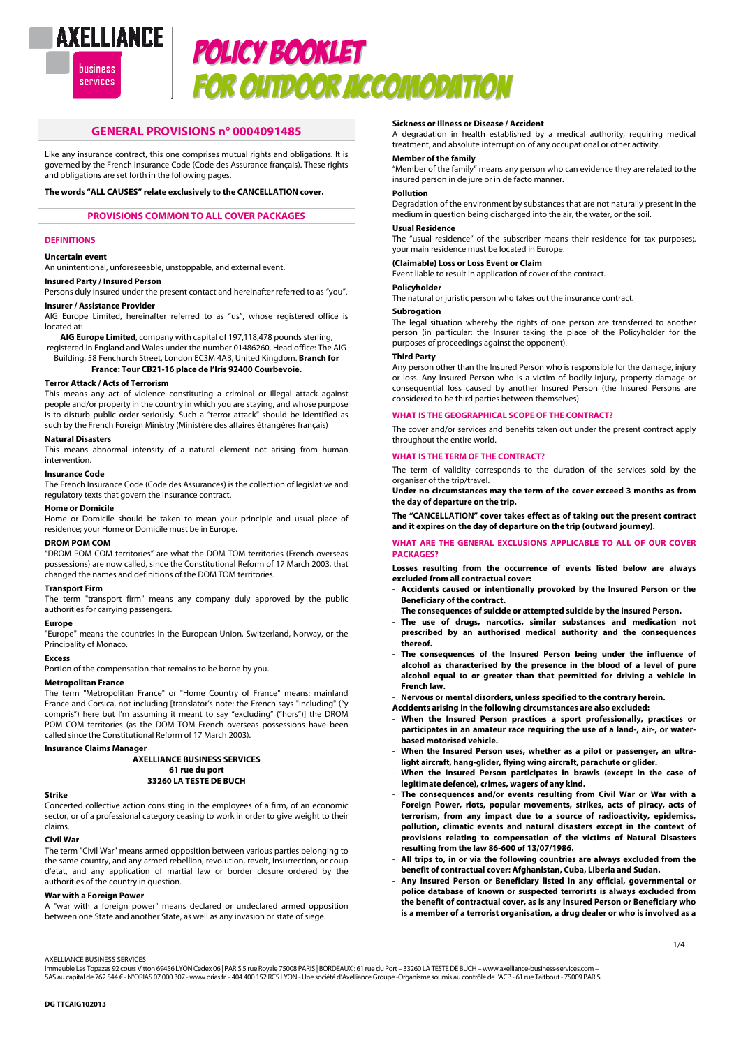

# POLICY BOOKLET FOR OUTDOOR ACCOMODATION

## **GENERAL PROVISIONS n° 0004091485**

Like any insurance contract, this one comprises mutual rights and obligations. It is governed by the French Insurance Code (Code des Assurance français). These rights and obligations are set forth in the following pages.

## **The words "ALL CAUSES" relate exclusively to the CANCELLATION cover.**

## **PROVISIONS COMMON TO ALL COVER PACKAGES**

### **DEFINITIONS**

## **Uncertain event**

An unintentional, unforeseeable, unstoppable, and external event.

#### **Insured Party / Insured Person**

Persons duly insured under the present contact and hereinafter referred to as "you". **Insurer / Assistance Provider** 

AIG Europe Limited, hereinafter referred to as "us", whose registered office is located at:

**AIG Europe Limited**, company with capital of 197,118,478 pounds sterling, registered in England and Wales under the number 01486260. Head office: The AIG

Building, 58 Fenchurch Street, London EC3M 4AB, United Kingdom. **Branch for France: Tour CB21-16 place de l'Iris 92400 Courbevoie.** 

## **Terror Attack / Acts of Terrorism**

This means any act of violence constituting a criminal or illegal attack against people and/or property in the country in which you are staying, and whose purpose is to disturb public order seriously. Such a "terror attack" should be identified as such by the French Foreign Ministry (Ministère des affaires étrangères français)

## **Natural Disasters**

This means abnormal intensity of a natural element not arising from human intervention.

#### **Insurance Code**

The French Insurance Code (Code des Assurances) is the collection of legislative and regulatory texts that govern the insurance contract.

## **Home or Domicile**

Home or Domicile should be taken to mean your principle and usual place of residence; your Home or Domicile must be in Europe.

## **DROM POM COM**

"DROM POM COM territories" are what the DOM TOM territories (French overseas possessions) are now called, since the Constitutional Reform of 17 March 2003, that changed the names and definitions of the DOM TOM territories.

#### **Transport Firm**

The term "transport firm" means any company duly approved by the public authorities for carrying passengers.

#### **Europe**

"Europe" means the countries in the European Union, Switzerland, Norway, or the Principality of Monaco.

#### **Excess**

Portion of the compensation that remains to be borne by you.

#### **Metropolitan France**

The term "Metropolitan France" or "Home Country of France" means: mainland France and Corsica, not including [translator's note: the French says "including" ("y compris") here but I'm assuming it meant to say "excluding" ("hors")] the DROM POM COM territories (as the DOM TOM French overseas possessions have been called since the Constitutional Reform of 17 March 2003).

#### **Insurance Claims Manager**

**AXELLIANCE BUSINESS SERVICES 61 rue du port 33260 LA TESTE DE BUCH** 

#### **Strike**

Concerted collective action consisting in the employees of a firm, of an economic sector, or of a professional category ceasing to work in order to give weight to their claims.

#### **Civil War**

The term "Civil War" means armed opposition between various parties belonging to the same country, and any armed rebellion, revolution, revolt, insurrection, or coup d'etat, and any application of martial law or border closure ordered by the authorities of the country in question.

## **War with a Foreign Power**

A "war with a foreign power" means declared or undeclared armed opposition between one State and another State, as well as any invasion or state of siege.

#### **Sickness or Illness or Disease / Accident**

A degradation in health established by a medical authority, requiring medical treatment, and absolute interruption of any occupational or other activity.

## **Member of the family**

"Member of the family" means any person who can evidence they are related to the insured person in de jure or in de facto manner.

#### **Pollution**

Degradation of the environment by substances that are not naturally present in the medium in question being discharged into the air, the water, or the soil.

## **Usual Residence**

The "usual residence" of the subscriber means their residence for tax purposes;. your main residence must be located in Europe.

#### **(Claimable) Loss or Loss Event or Claim**

Event liable to result in application of cover of the contract.

#### **Policyholder**

The natural or juristic person who takes out the insurance contract.

## **Subrogation**

The legal situation whereby the rights of one person are transferred to another person (in particular: the Insurer taking the place of the Policyholder for the purposes of proceedings against the opponent).

#### **Third Party**

Any person other than the Insured Person who is responsible for the damage, injury or loss. Any Insured Person who is a victim of bodily injury, property damage or consequential loss caused by another Insured Person (the Insured Persons are considered to be third parties between themselves).

### **WHAT IS THE GEOGRAPHICAL SCOPE OF THE CONTRACT?**

The cover and/or services and benefits taken out under the present contract apply throughout the entire world.

## **WHAT IS THE TERM OF THE CONTRACT?**

The term of validity corresponds to the duration of the services sold by the organiser of the trip/travel.

**Under no circumstances may the term of the cover exceed 3 months as from the day of departure on the trip.** 

**The "CANCELLATION" cover takes effect as of taking out the present contract and it expires on the day of departure on the trip (outward journey).** 

## **WHAT ARE THE GENERAL EXCLUSIONS APPLICABLE TO ALL OF OUR COVER PACKAGES?**

**Losses resulting from the occurrence of events listed below are always excluded from all contractual cover:** 

- **Accidents caused or intentionally provoked by the Insured Person or the Beneficiary of the contract.**
- The consequences of suicide or attempted suicide by the Insured Person.
- **The use of drugs, narcotics, similar substances and medication not prescribed by an authorised medical authority and the consequences thereof.**
- **The consequences of the Insured Person being under the influence of alcohol as characterised by the presence in the blood of a level of pure alcohol equal to or greater than that permitted for driving a vehicle in French law.**
- **Nervous or mental disorders, unless specified to the contrary herein.**
- **Accidents arising in the following circumstances are also excluded:**  When the Insured Person practices a sport professionally, practices or **participates in an amateur race requiring the use of a land-, air-, or waterbased motorised vehicle.**
- When the Insured Person uses, whether as a pilot or passenger, an ultra**light aircraft, hang-glider, flying wing aircraft, parachute or glider.**
- When the Insured Person participates in brawls (except in the case of **legitimate defence), crimes, wagers of any kind.**
- The consequences and/or events resulting from Civil War or War with a **Foreign Power, riots, popular movements, strikes, acts of piracy, acts of terrorism, from any impact due to a source of radioactivity, epidemics, pollution, climatic events and natural disasters except in the context of provisions relating to compensation of the victims of Natural Disasters resulting from the law 86-600 of 13/07/1986.**
- **All trips to, in or via the following countries are always excluded from the benefit of contractual cover: Afghanistan, Cuba, Liberia and Sudan.**
- **Any Insured Person or Beneficiary listed in any official, governmental or police database of known or suspected terrorists is always excluded from the benefit of contractual cover, as is any Insured Person or Beneficiary who is a member of a terrorist organisation, a drug dealer or who is involved as a**

## AXELLIANCE BUSINESS SERVICES

Immeuble Les Topazes 92 cours Vitton 69456 LYON Cedex 06 | PARIS 5 rue Royale 75008 PARIS | BORDEAUX : 61 rue du Port – 33260 LA TESTE DE BUCH – www.axelliance-business-services.com – SAS au capital de 762 544 € - N°ORIAS 07 000 307 - www.orias.fr - 404 400 152 RCS LYON - Une société d'Axelliance Groupe -Organisme soumis au contrôle de l'ACP - 61 rue Taitbout - 75009 PARIS.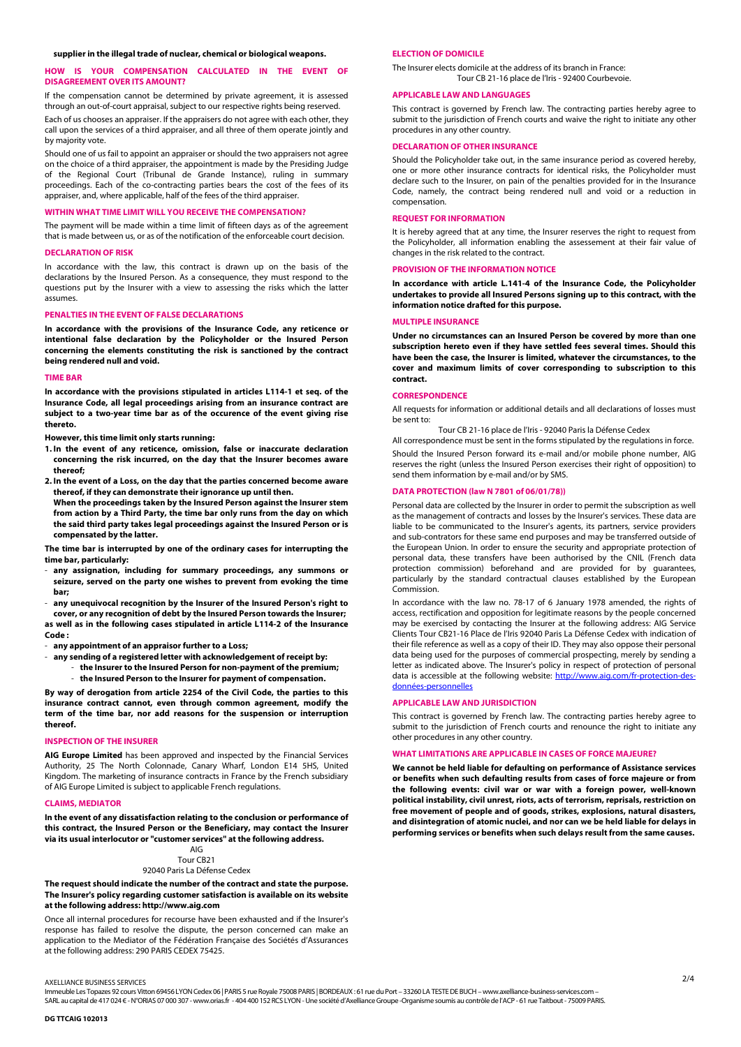## **HOW IS YOUR COMPENSATION CALCULATED IN THE EVENT OF DISAGREEMENT OVER ITS AMOUNT?**

If the compensation cannot be determined by private agreement, it is assessed through an out-of-court appraisal, subject to our respective rights being reserved.

Each of us chooses an appraiser. If the appraisers do not agree with each other, they call upon the services of a third appraiser, and all three of them operate jointly and by majority vote.

Should one of us fail to appoint an appraiser or should the two appraisers not agree on the choice of a third appraiser, the appointment is made by the Presiding Judge of the Regional Court (Tribunal de Grande Instance), ruling in summary proceedings. Each of the co-contracting parties bears the cost of the fees of its appraiser, and, where applicable, half of the fees of the third appraiser.

## **WITHIN WHAT TIME LIMIT WILL YOU RECEIVE THE COMPENSATION?**

The payment will be made within a time limit of fifteen days as of the agreement that is made between us, or as of the notification of the enforceable court decision.

#### **DECLARATION OF RISK**

In accordance with the law, this contract is drawn up on the basis of the declarations by the Insured Person. As a consequence, they must respond to the questions put by the Insurer with a view to assessing the risks which the latter assumes.

## **PENALTIES IN THE EVENT OF FALSE DECLARATIONS**

**In accordance with the provisions of the Insurance Code, any reticence or intentional false declaration by the Policyholder or the Insured Person concerning the elements constituting the risk is sanctioned by the contract being rendered null and void.** 

## **TIME BAR**

**In accordance with the provisions stipulated in articles L114-1 et seq. of the Insurance Code, all legal proceedings arising from an insurance contract are subject to a two-year time bar as of the occurence of the event giving rise thereto.** 

**However, this time limit only starts running:** 

- **1. In the event of any reticence, omission, false or inaccurate declaration concerning the risk incurred, on the day that the Insurer becomes aware thereof;**
- **2. In the event of a Loss, on the day that the parties concerned become aware thereof, if they can demonstrate their ignorance up until then. When the proceedings taken by the Insured Person against the Insurer stem from action by a Third Party, the time bar only runs from the day on which**

**the said third party takes legal proceedings against the Insured Person or is compensated by the latter.** 

**The time bar is interrupted by one of the ordinary cases for interrupting the time bar, particularly:** 

any assignation, including for summary proceedings, any summons or **seizure, served on the party one wishes to prevent from evoking the time bar;** 

- **any unequivocal recognition by the Insurer of the Insured Person's right to cover, or any recognition of debt by the Insured Person towards the Insurer; as well as in the following cases stipulated in article L114-2 of the Insurance Code :** 

- **any appointment of an appraisor further to a Loss;** 

- **any sending of a registered letter with acknowledgement of receipt by:** 

- **the Insurer to the Insured Person for non-payment of the premium;**  - **the Insured Person to the Insurer for payment of compensation.** 

**By way of derogation from article 2254 of the Civil Code, the parties to this insurance contract cannot, even through common agreement, modify the term of the time bar, nor add reasons for the suspension or interruption thereof.** 

## **INSPECTION OF THE INSURER**

**AIG Europe Limited** has been approved and inspected by the Financial Services Authority, 25 The North Colonnade, Canary Wharf, London E14 5HS, United Kingdom. The marketing of insurance contracts in France by the French subsidiary of AIG Europe Limited is subject to applicable French regulations.

#### **CLAIMS, MEDIATOR**

**In the event of any dissatisfaction relating to the conclusion or performance of this contract, the Insured Person or the Beneficiary, may contact the Insurer via its usual interlocutor or "customer services" at the following address.** 

#### AIG Tour CB21 92040 Paris La Défense Cedex

**The request should indicate the number of the contract and state the purpose. The Insurer's policy regarding customer satisfaction is available on its website at the following address: http://www.aig.com** 

Once all internal procedures for recourse have been exhausted and if the Insurer's response has failed to resolve the dispute, the person concerned can make an application to the Mediator of the Fédération Française des Sociétés d'Assurances at the following address: 290 PARIS CEDEX 75425.

## **ELECTION OF DOMICILE**

The Insurer elects domicile at the address of its branch in France: Tour CB 21-16 place de l'Iris - 92400 Courbevoie.

## **APPLICABLE LAW AND LANGUAGES**

This contract is governed by French law. The contracting parties hereby agree to submit to the jurisdiction of French courts and waive the right to initiate any other procedures in any other country.

## **ARATION OF OTHER INSURANCE**

Should the Policyholder take out, in the same insurance period as covered hereby, one or more other insurance contracts for identical risks, the Policyholder must declare such to the Insurer, on pain of the penalties provided for in the Insurance Code, namely, the contract being rendered null and void or a reduction in compensation.

#### **REQUEST FOR INFORMATION**

It is hereby agreed that at any time, the Insurer reserves the right to request from the Policyholder, all information enabling the assessement at their fair value of changes in the risk related to the contract.

## **PROVISION OF THE INFORMATION NOTICE**

**In accordance with article L.141-4 of the Insurance Code, the Policyholder undertakes to provide all Insured Persons signing up to this contract, with the information notice drafted for this purpose.** 

## **MULTIPLE INSURANCE**

**Under no circumstances can an Insured Person be covered by more than one subscription hereto even if they have settled fees several times. Should this have been the case, the Insurer is limited, whatever the circumstances, to the cover and maximum limits of cover corresponding to subscription to this contract.** 

## **CORRESPONDENCE**

All requests for information or additional details and all declarations of losses must be sent to:

Tour CB 21-16 place de l'Iris - 92040 Paris la Défense Cedex

All correspondence must be sent in the forms stipulated by the regulations in force. Should the Insured Person forward its e-mail and/or mobile phone number, AIG reserves the right (unless the Insured Person exercises their right of opposition) to send them information by e-mail and/or by SMS.

## **DATA PROTECTION (law N 7801 of 06/01/78))**

Personal data are collected by the Insurer in order to permit the subscription as well as the management of contracts and losses by the Insurer's services. These data are liable to be communicated to the Insurer's agents, its partners, service providers and sub-contrators for these same end purposes and may be transferred outside of the European Union. In order to ensure the security and appropriate protection of personal data, these transfers have been authorised by the CNIL (French data protection commission) beforehand and are provided for by guarantees, particularly by the standard contractual clauses established by the European Commission.

In accordance with the law no. 78-17 of 6 January 1978 amended, the rights of access, rectification and opposition for legitimate reasons by the people concerned may be exercised by contacting the Insurer at the following address: AIG Service Clients Tour CB21-16 Place de l'Iris 92040 Paris La Défense Cedex with indication of their file reference as well as a copy of their ID. They may also oppose their personal data being used for the purposes of commercial prospecting, merely by sending a letter as indicated above. The Insurer's policy in respect of protection of personal data is accessible at the following website: http://www.aig.com/fr-protection-desdonnées-personnelles

## **APPLICABLE LAW AND JURISDICTION**

This contract is governed by French law. The contracting parties hereby agree to submit to the jurisdiction of French courts and renounce the right to initiate any other procedures in any other country.

## **WHAT LIMITATIONS ARE APPLICABLE IN CASES OF FORCE MAJEURE?**

**We cannot be held liable for defaulting on performance of Assistance services or benefits when such defaulting results from cases of force majeure or from the following events: civil war or war with a foreign power, well-known political instability, civil unrest, riots, acts of terrorism, reprisals, restriction on free movement of people and of goods, strikes, explosions, natural disasters, and disintegration of atomic nuclei, and nor can we be held liable for delays in performing services or benefits when such delays result from the same causes.** 

Immeuble Les Topazes 92 cours Vitton 69456 LYON Cedex 06 | PARIS 5 rue Royale 75008 PARIS | BORDEAUX : 61 rue du Port – 33260 LA TESTE DE BUCH – www.axelliance-business-services.com – SARL au capital de 417 024 € - N°ORIAS 07 000 307 - www.orias.fr - 404 400 152 RCS LYON - Une société d'Axelliance Groupe -Organisme soumis au contrôle de l'ACP - 61 rue Taitbout - 75009 PARIS.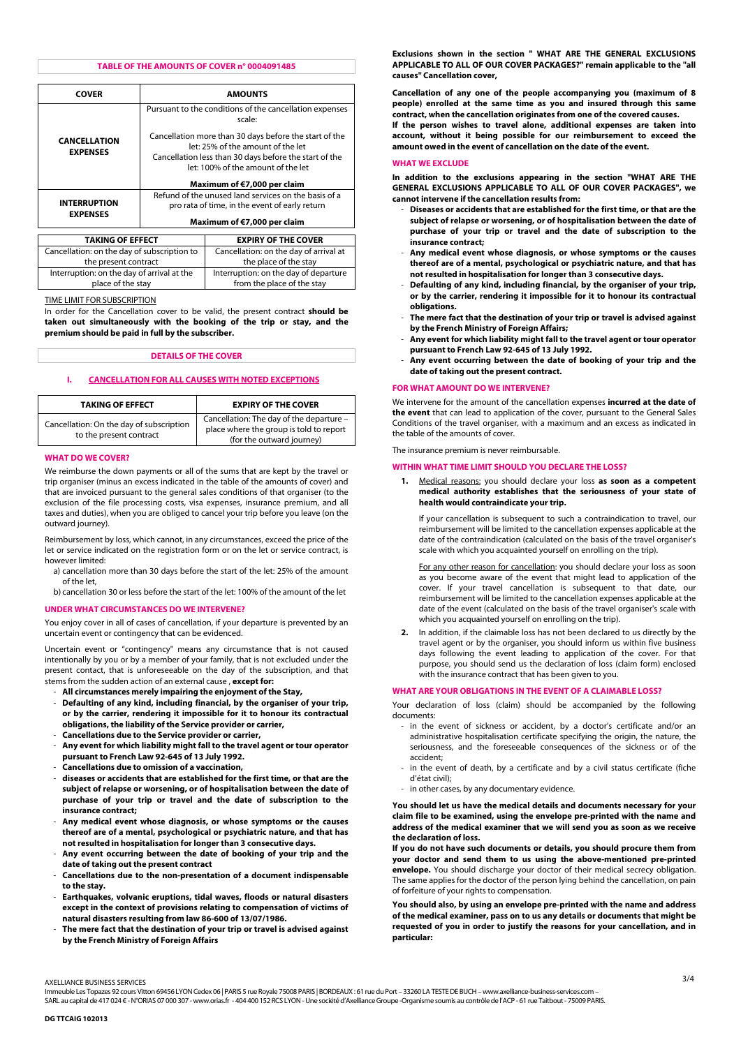## **TABLE OF THE AMOUNTS OF COVER n° 0004091485**

| <b>COVER</b>                                |                                                                                                                                                       | <b>AMOUNTS</b>                         |
|---------------------------------------------|-------------------------------------------------------------------------------------------------------------------------------------------------------|----------------------------------------|
| <b>CANCELLATION</b><br><b>EXPENSES</b>      | Pursuant to the conditions of the cancellation expenses<br>scale:                                                                                     |                                        |
|                                             | Cancellation more than 30 days before the start of the<br>let: 25% of the amount of the let<br>Cancellation less than 30 days before the start of the |                                        |
|                                             | let: 100% of the amount of the let                                                                                                                    |                                        |
|                                             | Maximum of €7,000 per claim                                                                                                                           |                                        |
| <b>INTERRUPTION</b><br><b>EXPENSES</b>      | Refund of the unused land services on the basis of a                                                                                                  |                                        |
|                                             | pro rata of time, in the event of early return                                                                                                        |                                        |
|                                             | Maximum of €7,000 per claim                                                                                                                           |                                        |
|                                             |                                                                                                                                                       |                                        |
| TAKING OF EFFECT                            |                                                                                                                                                       | <b>EXPIRY OF THE COVER</b>             |
| Cancellation: on the day of subscription to |                                                                                                                                                       | Cancellation: on the day of arrival at |
| the present contract                        |                                                                                                                                                       | the place of the stay                  |
| Interruption: on the day of arrival at the  |                                                                                                                                                       | Interruption: on the day of departure  |

TIME LIMIT FOR SUBSCRIPTION

place of the stay

In order for the Cancellation cover to be valid, the present contract **should be taken out simultaneously with the booking of the trip or stay, and the premium should be paid in full by the subscriber.** 

from the place of the stay

## **DETAILS OF THE COVER**

#### **I. CANCELLATION FOR ALL CAUSES WITH NOTED EXCEPTIONS**

| <b>TAKING OF EFFECT</b>                                             | <b>EXPIRY OF THE COVER</b>                                                                                       |
|---------------------------------------------------------------------|------------------------------------------------------------------------------------------------------------------|
| Cancellation: On the day of subscription<br>to the present contract | Cancellation: The day of the departure -<br>place where the group is told to report<br>(for the outward journey) |

## **WHAT DO WE COVER?**

We reimburse the down payments or all of the sums that are kept by the travel or trip organiser (minus an excess indicated in the table of the amounts of cover) and that are invoiced pursuant to the general sales conditions of that organiser (to the exclusion of the file processing costs, visa expenses, insurance premium, and all taxes and duties), when you are obliged to cancel your trip before you leave (on the outward journey).

Reimbursement by loss, which cannot, in any circumstances, exceed the price of the let or service indicated on the registration form or on the let or service contract, is however limited:

a) cancellation more than 30 days before the start of the let: 25% of the amount of the let,

b) cancellation 30 or less before the start of the let: 100% of the amount of the let

#### **UNDER WHAT CIRCUMSTANCES DO WE INTERVENE?**

You enjoy cover in all of cases of cancellation, if your departure is prevented by an uncertain event or contingency that can be evidenced.

Uncertain event or "contingency" means any circumstance that is not caused intentionally by you or by a member of your family, that is not excluded under the present contact, that is unforeseeable on the day of the subscription, and that stems from the sudden action of an external cause , **except for:**

- **All circumstances merely impairing the enjoyment of the Stay,**
- **Defaulting of any kind, including financial, by the organiser of your trip, or by the carrier, rendering it impossible for it to honour its contractual obligations, the liability of the Service provider or carrier,**
- **Cancellations due to the Service provider or carrier,**
- **Any event for which liability might fall to the travel agent or tour operator pursuant to French Law 92-645 of 13 July 1992.**
- **Cancellations due to omission of a vaccination,**
- **diseases or accidents that are established for the first time, or that are the subject of relapse or worsening, or of hospitalisation between the date of purchase of your trip or travel and the date of subscription to the insurance contract;**
- **Any medical event whose diagnosis, or whose symptoms or the causes thereof are of a mental, psychological or psychiatric nature, and that has not resulted in hospitalisation for longer than 3 consecutive days.**
- **Any event occurring between the date of booking of your trip and the date of taking out the present contract**
- **Cancellations due to the non-presentation of a document indispensable to the stay.**
- **Earthquakes, volvanic eruptions, tidal waves, floods or natural disasters except in the context of provisions relating to compensation of victims of natural disasters resulting from law 86-600 of 13/07/1986.**
- The mere fact that the destination of your trip or travel is advised against **by the French Ministry of Foreign Affairs**

**Exclusions shown in the section " WHAT ARE THE GENERAL EXCLUSIONS APPLICABLE TO ALL OF OUR COVER PACKAGES?" remain applicable to the "all causes" Cancellation cover,** 

**Cancellation of any one of the people accompanying you (maximum of 8 people) enrolled at the same time as you and insured through this same contract, when the cancellation originates from one of the covered causes.** 

**If the person wishes to travel alone, additional expenses are taken into account, without it being possible for our reimbursement to exceed the amount owed in the event of cancellation on the date of the event.** 

#### **WHAT WE EXCLUDE**

**In addition to the exclusions appearing in the section "WHAT ARE THE GENERAL EXCLUSIONS APPLICABLE TO ALL OF OUR COVER PACKAGES", we cannot intervene if the cancellation results from:** 

- **Diseases or accidents that are established for the first time, or that are the subject of relapse or worsening, or of hospitalisation between the date of purchase of your trip or travel and the date of subscription to the insurance contract;**
- **Any medical event whose diagnosis, or whose symptoms or the causes thereof are of a mental, psychological or psychiatric nature, and that has not resulted in hospitalisation for longer than 3 consecutive days.**
- **Defaulting of any kind, including financial, by the organiser of your trip, or by the carrier, rendering it impossible for it to honour its contractual obligations.**
- The mere fact that the destination of your trip or travel is advised against **by the French Ministry of Foreign Affairs;**
- **Any event for which liability might fall to the travel agent or tour operator pursuant to French Law 92-645 of 13 July 1992.**
- **Any event occurring between the date of booking of your trip and the date of taking out the present contract.**

## **FOR WHAT AMOUNT DO WE INTERVENE?**

We intervene for the amount of the cancellation expenses **incurred at the date of the event** that can lead to application of the cover, pursuant to the General Sales Conditions of the travel organiser, with a maximum and an excess as indicated in the table of the amounts of cover.

The insurance premium is never reimbursable.

## **WITHIN WHAT TIME LIMIT SHOULD YOU DECLARE THE LOSS?**

**1.** Medical reasons: you should declare your loss **as soon as a competent medical authority establishes that the seriousness of your state of health would contraindicate your trip.** 

If your cancellation is subsequent to such a contraindication to travel, our reimbursement will be limited to the cancellation expenses applicable at the date of the contraindication (calculated on the basis of the travel organiser's scale with which you acquainted yourself on enrolling on the trip).

For any other reason for cancellation: you should declare your loss as soon as you become aware of the event that might lead to application of the cover. If your travel cancellation is subsequent to that date, our reimbursement will be limited to the cancellation expenses applicable at the date of the event (calculated on the basis of the travel organiser's scale with which you acquainted yourself on enrolling on the trip).

**2.** In addition, if the claimable loss has not been declared to us directly by the travel agent or by the organiser, you should inform us within five business days following the event leading to application of the cover. For that purpose, you should send us the declaration of loss (claim form) enclosed with the insurance contract that has been given to you.

## **WHAT ARE YOUR OBLIGATIONS IN THE EVENT OF A CLAIMABLE LOSS?**

Your declaration of loss (claim) should be accompanied by the following documents:

- in the event of sickness or accident, by a doctor's certificate and/or an administrative hospitalisation certificate specifying the origin, the nature, the seriousness, and the foreseeable consequences of the sickness or of the accident;
- in the event of death, by a certificate and by a civil status certificate (fiche d'état civil);
- in other cases, by any documentary evidence.

**You should let us have the medical details and documents necessary for your claim file to be examined, using the envelope pre-printed with the name and address of the medical examiner that we will send you as soon as we receive the declaration of loss.** 

**If you do not have such documents or details, you should procure them from your doctor and send them to us using the above-mentioned pre-printed envelope.** You should discharge your doctor of their medical secrecy obligation. The same applies for the doctor of the person lying behind the cancellation, on pain of forfeiture of your rights to compensation.

**You should also, by using an envelope pre-printed with the name and address of the medical examiner, pass on to us any details or documents that might be requested of you in order to justify the reasons for your cancellation, and in particular:** 

Immeuble Les Topazes 92 cours Vitton 69456 LYON Cedex 06 | PARIS 5 rue Royale 75008 PARIS | BORDEAUX : 61 rue du Port – 33260 LA TESTE DE BUCH – www.axelliance-business-services.com – SARL au capital de 417 024 € - N°ORIAS 07 000 307 - www.orias.fr - 404 400 152 RCS LYON - Une société d'Axelliance Groupe -Organisme soumis au contrôle de l'ACP - 61 rue Taitbout - 75009 PARIS.